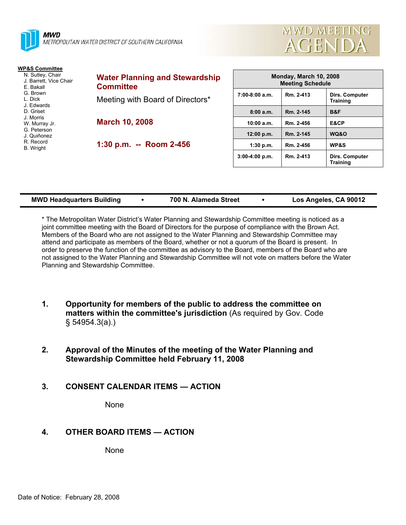



**Training** 

| <b>WP&amp;S Committee</b>                                                                    |                                                                                               |                                                   |           |                                   |
|----------------------------------------------------------------------------------------------|-----------------------------------------------------------------------------------------------|---------------------------------------------------|-----------|-----------------------------------|
| N. Sutley, Chair<br>J. Barrett, Vice Chair<br>E. Bakall<br>G. Brown<br>L. Dick<br>J. Edwards | <b>Water Planning and Stewardship</b><br><b>Committee</b><br>Meeting with Board of Directors* | Monday, March 10, 2008<br><b>Meeting Schedule</b> |           |                                   |
|                                                                                              |                                                                                               | $7:00-8:00$ a.m.                                  | Rm. 2-413 | Dirs. Computer<br><b>Training</b> |
| D. Griset                                                                                    |                                                                                               | 8:00a.m.                                          | Rm. 2-145 | B&F                               |
| J. Morris<br>W. Murray Jr.                                                                   | <b>March 10, 2008</b>                                                                         | 10:00 a.m.                                        | Rm. 2-456 | E&CP                              |
| G. Peterson<br>J. Quiñonez                                                                   |                                                                                               | 12:00 p.m.                                        | Rm. 2-145 | WQ&O                              |
| R. Record<br><b>B.</b> Wright                                                                | 1:30 p.m. -- Room 2-456                                                                       | 1:30 p.m.                                         | Rm. 2-456 | <b>WP&amp;S</b>                   |
|                                                                                              |                                                                                               | $3:00-4:00$ p.m.                                  | Rm. 2-413 | <b>Dirs. Computer</b>             |

| <b>MWD Headquarters Building</b> | 700 N. Alameda Street | Los Angeles, CA 90012 |
|----------------------------------|-----------------------|-----------------------|

\* The Metropolitan Water District's Water Planning and Stewardship Committee meeting is noticed as a joint committee meeting with the Board of Directors for the purpose of compliance with the Brown Act. Members of the Board who are not assigned to the Water Planning and Stewardship Committee may attend and participate as members of the Board, whether or not a quorum of the Board is present. In order to preserve the function of the committee as advisory to the Board, members of the Board who are not assigned to the Water Planning and Stewardship Committee will not vote on matters before the Water Planning and Stewardship Committee.

- **1. Opportunity for members of the public to address the committee on matters within the committee's jurisdiction** (As required by Gov. Code § 54954.3(a).)
- **2. Approval of the Minutes of the meeting of the Water Planning and Stewardship Committee held February 11, 2008**
- **3. CONSENT CALENDAR ITEMS ACTION**

None

# **4. OTHER BOARD ITEMS — ACTION**

None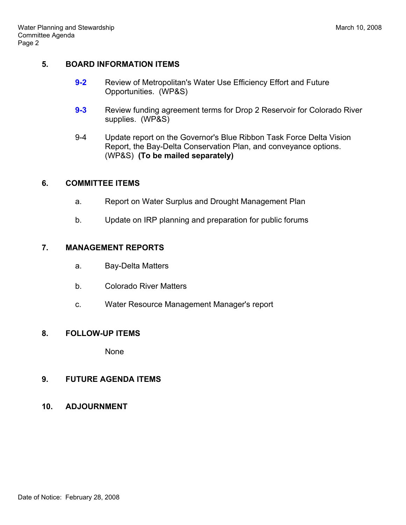# **5. BOARD INFORMATION ITEMS**

- **9-2** Review of Metropolitan's Water Use Efficiency Effort and Future Opportunities. (WP&S)
- **9-3** Review funding agreement terms for Drop 2 Reservoir for Colorado River supplies. (WP&S)
- 9-4 Update report on the Governor's Blue Ribbon Task Force Delta Vision Report, the Bay-Delta Conservation Plan, and conveyance options. (WP&S) **(To be mailed separately)**

# **6. COMMITTEE ITEMS**

- a. Report on Water Surplus and Drought Management Plan
- b. Update on IRP planning and preparation for public forums

# **7. MANAGEMENT REPORTS**

- a. Bay-Delta Matters
- b. Colorado River Matters
- c. Water Resource Management Manager's report

# **8. FOLLOW-UP ITEMS**

None

# **9. FUTURE AGENDA ITEMS**

**10. ADJOURNMENT**